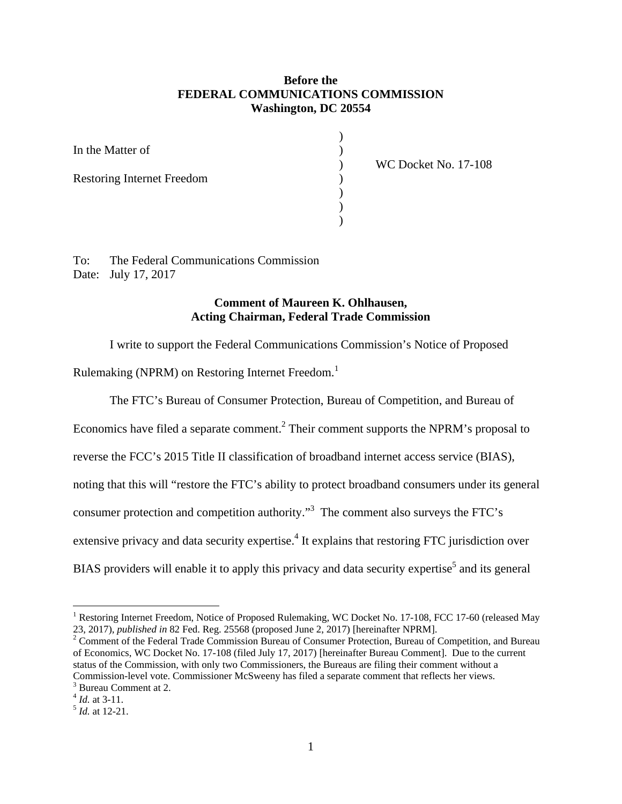# **Before the FEDERAL COMMUNICATIONS COMMISSION Washington, DC 20554**

)

) ) ) ) ) )

| In the Matter of                  |
|-----------------------------------|
| <b>Restoring Internet Freedom</b> |
|                                   |

WC Docket No. 17-108

To: Date: July 17, 2017 The Federal Communications Commission

### **Comment of Maureen K. Ohlhausen, Acting Chairman, Federal Trade Commission**

I write to support the Federal Communications Commission's Notice of Proposed

Rulemaking (NPRM) on Restoring Internet Freedom.<sup>1</sup>

The FTC's Bureau of Consumer Protection, Bureau of Competition, and Bureau of

Economics have filed a separate comment.<sup>2</sup> Their comment supports the NPRM's proposal to

reverse the FCC's 2015 Title II classification of broadband internet access service (BIAS),

noting that this will "restore the FTC's ability to protect broadband consumers under its general

consumer protection and competition authority."3 The comment also surveys the FTC's

extensive privacy and data security expertise.<sup>4</sup> It explains that restoring FTC jurisdiction over

BIAS providers will enable it to apply this privacy and data security expertise<sup>5</sup> and its general

<sup>2</sup> Comment of the Federal Trade Commission Bureau of Consumer Protection, Bureau of Competition, and Bureau of Economics, WC Docket No. 17-108 (filed July 17, 2017) [hereinafter Bureau Comment]. Due to the current status of the Commission, with only two Commissioners, the Bureaus are filing their comment without a Commission-level vote. Commissioner McSweeny has filed a separate comment that reflects her views.

3 Bureau Comment at 2. <sup>4</sup>*Id.* at 3-11. 5 *Id.* at 12-21.

<sup>23, 2017),</sup> *published in* 82 Fed. Reg. 25568 (proposed June 2, 2017) [hereinafter NPRM]. <sup>1</sup> Restoring Internet Freedom, Notice of Proposed Rulemaking, WC Docket No. 17-108, FCC 17-60 (released May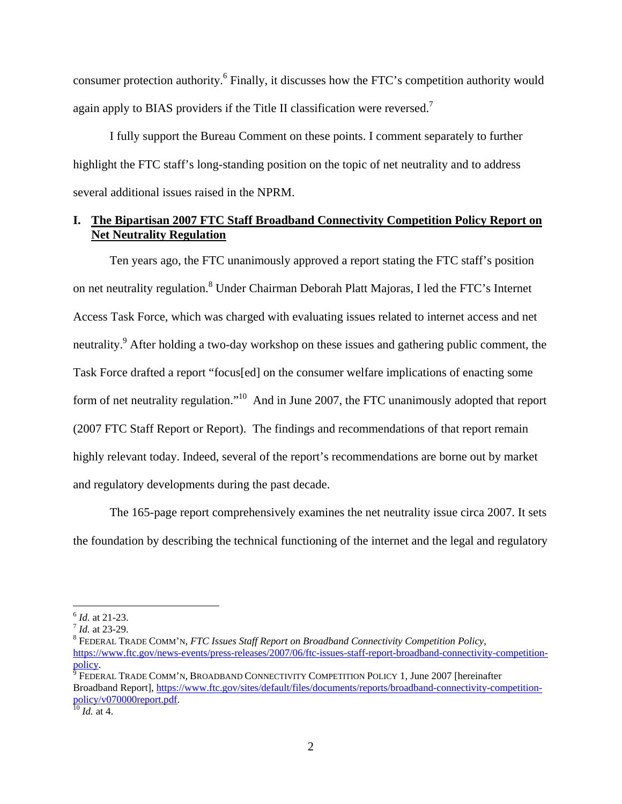again apply to BIAS providers if the Title II classification were reversed.<sup>7</sup> consumer protection authority.<sup>6</sup> Finally, it discusses how the FTC's competition authority would

I fully support the Bureau Comment on these points. I comment separately to further highlight the FTC staff's long-standing position on the topic of net neutrality and to address several additional issues raised in the NPRM.

# **I. The Bipartisan 2007 FTC Staff Broadband Connectivity Competition Policy Report on Net Neutrality Regulation**

Ten years ago, the FTC unanimously approved a report stating the FTC staff's position on net neutrality regulation.<sup>8</sup> Under Chairman Deborah Platt Majoras, I led the FTC's Internet Access Task Force, which was charged with evaluating issues related to internet access and net neutrality.<sup>9</sup> After holding a two-day workshop on these issues and gathering public comment, the Task Force drafted a report "focus[ed] on the consumer welfare implications of enacting some form of net neutrality regulation."10 And in June 2007, the FTC unanimously adopted that report (2007 FTC Staff Report or Report). The findings and recommendations of that report remain highly relevant today. Indeed, several of the report's recommendations are borne out by market and regulatory developments during the past decade.

The 165-page report comprehensively examines the net neutrality issue circa 2007. It sets the foundation by describing the technical functioning of the internet and the legal and regulatory

<u>.</u>

<sup>&</sup>lt;sup>6</sup> *Id.* at 21-23.<br><sup>7</sup> *Id.* at 23-29.<br><sup>8</sup> FEDERAL TRADE COMM'N, *FTC Issues Staff Report on Broadband Connectivity Competition Policy,* https://www.ftc.gov/news-events/press-releases/2007/06/ftc-issues-staff-report-broadband-connectivity-competitionpolicy.

 $\frac{6}{9}$  FEDERAL TRADE COMM'N, BROADBAND CONNECTIVITY COMPETITION POLICY 1, June 2007 [hereinafter Broadband Report], https://www.ftc.gov/sites/default/files/documents/reports/broadband-connectivity-competitionpolicy/v070000report.pdf. 10 *Id.* at 4.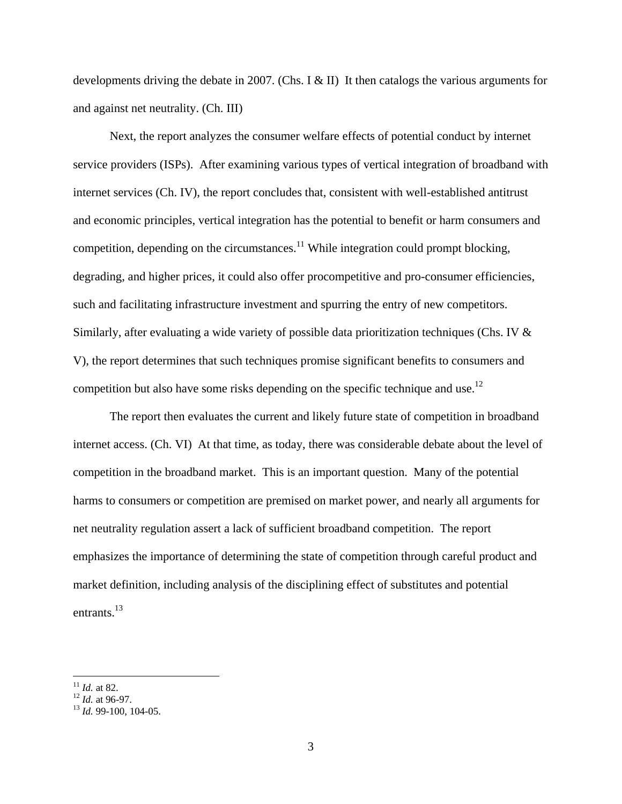developments driving the debate in 2007. (Chs. I & II) It then catalogs the various arguments for and against net neutrality. (Ch. III)

competition but also have some risks depending on the specific technique and use.<sup>12</sup> Next, the report analyzes the consumer welfare effects of potential conduct by internet service providers (ISPs). After examining various types of vertical integration of broadband with internet services (Ch. IV), the report concludes that, consistent with well-established antitrust and economic principles, vertical integration has the potential to benefit or harm consumers and competition, depending on the circumstances.<sup>11</sup> While integration could prompt blocking, degrading, and higher prices, it could also offer procompetitive and pro-consumer efficiencies, such and facilitating infrastructure investment and spurring the entry of new competitors. Similarly, after evaluating a wide variety of possible data prioritization techniques (Chs. IV & V), the report determines that such techniques promise significant benefits to consumers and

entrants. $^{13}$ The report then evaluates the current and likely future state of competition in broadband internet access. (Ch. VI) At that time, as today, there was considerable debate about the level of competition in the broadband market. This is an important question. Many of the potential harms to consumers or competition are premised on market power, and nearly all arguments for net neutrality regulation assert a lack of sufficient broadband competition. The report emphasizes the importance of determining the state of competition through careful product and market definition, including analysis of the disciplining effect of substitutes and potential

<u>.</u>

<sup>11</sup>*Id.* at 82.

<sup>12</sup>*Id.* at 96-97. 13 *Id.* 99-100, 104-05.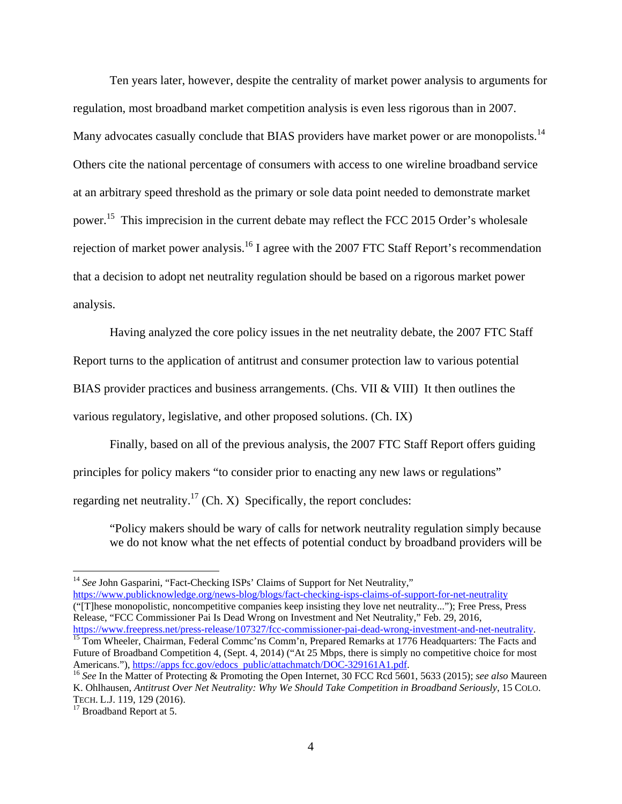Many advocates casually conclude that BIAS providers have market power or are monopolists.<sup>14</sup> Ten years later, however, despite the centrality of market power analysis to arguments for regulation, most broadband market competition analysis is even less rigorous than in 2007. Others cite the national percentage of consumers with access to one wireline broadband service at an arbitrary speed threshold as the primary or sole data point needed to demonstrate market power.15 This imprecision in the current debate may reflect the FCC 2015 Order's wholesale rejection of market power analysis.<sup>16</sup> I agree with the 2007 FTC Staff Report's recommendation that a decision to adopt net neutrality regulation should be based on a rigorous market power analysis.

Having analyzed the core policy issues in the net neutrality debate, the 2007 FTC Staff Report turns to the application of antitrust and consumer protection law to various potential BIAS provider practices and business arrangements. (Chs. VII & VIII) It then outlines the various regulatory, legislative, and other proposed solutions. (Ch. IX)

Finally, based on all of the previous analysis, the 2007 FTC Staff Report offers guiding principles for policy makers "to consider prior to enacting any new laws or regulations" regarding net neutrality.<sup>17</sup> (Ch. X) Specifically, the report concludes:

"Policy makers should be wary of calls for network neutrality regulation simply because we do not know what the net effects of potential conduct by broadband providers will be

 Release, "FCC Commissioner Pai Is Dead Wrong on Investment and Net Neutrality," Feb. 29, 2016, <sup>14</sup> See John Gasparini, "Fact-Checking ISPs' Claims of Support for Net Neutrality," https://www.publicknowledge.org/news-blog/blogs/fact-checking-isps-claims-of-support-for-net-neutrality ("[T]hese monopolistic, noncompetitive companies keep insisting they love net neutrality..."); Free Press, Press

 Future of Broadband Competition 4, (Sept. 4, 2014) ("At 25 Mbps, there is simply no competitive choice for most https://www.freepress.net/press-release/107327/fcc-commissioner-pai-dead-wrong-investment-and-net-neutrality.<br><sup>15</sup> Tom Wheeler, Chairman, Federal Commc'ns Comm'n, Prepared Remarks at 1776 Headquarters: The Facts and

Americans."), https://apps fcc.gov/edocs\_public/attachmatch/DOC-329161A1.pdf.<br><sup>16</sup> *See* In the Matter of Protecting & Promoting the Open Internet, 30 FCC Rcd 5601, 5633 (2015); *see also* Maureen  K. Ohlhausen, *Antitrust Over Net Neutrality: Why We Should Take Competition in Broadband Seriously*, 15 COLO. TECH. L.J. 119, 129 (2016).<br><sup>17</sup> Broadband Report at 5.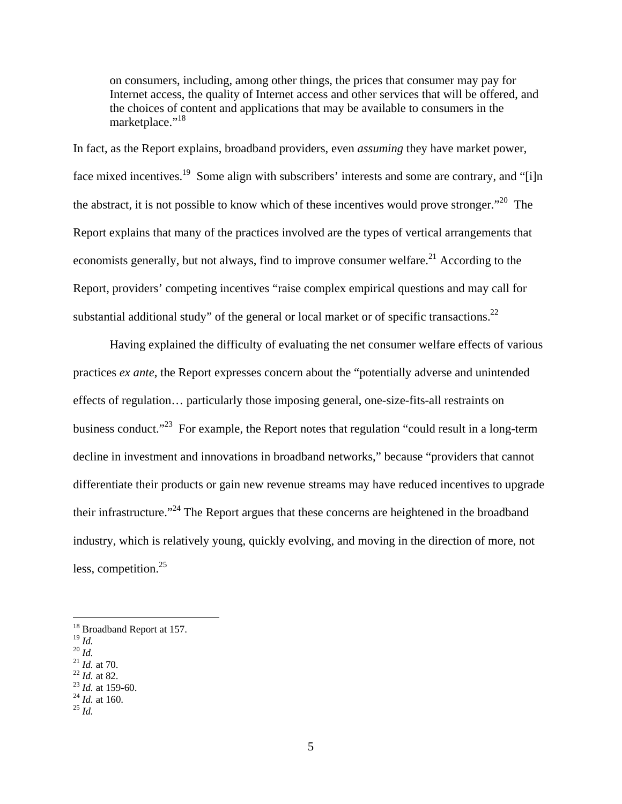on consumers, including, among other things, the prices that consumer may pay for Internet access, the quality of Internet access and other services that will be offered, and the choices of content and applications that may be available to consumers in the marketplace."<sup>18</sup>

substantial additional study" of the general or local market or of specific transactions.<sup>22</sup> In fact, as the Report explains, broadband providers, even *assuming* they have market power, face mixed incentives.<sup>19</sup> Some align with subscribers' interests and some are contrary, and "[i]n the abstract, it is not possible to know which of these incentives would prove stronger."<sup>20</sup> The Report explains that many of the practices involved are the types of vertical arrangements that economists generally, but not always, find to improve consumer welfare.<sup>21</sup> According to the Report, providers' competing incentives "raise complex empirical questions and may call for

Having explained the difficulty of evaluating the net consumer welfare effects of various practices *ex ante*, the Report expresses concern about the "potentially adverse and unintended effects of regulation… particularly those imposing general, one-size-fits-all restraints on business conduct."<sup>23</sup> For example, the Report notes that regulation "could result in a long-term decline in investment and innovations in broadband networks," because "providers that cannot differentiate their products or gain new revenue streams may have reduced incentives to upgrade their infrastructure."24 The Report argues that these concerns are heightened in the broadband industry, which is relatively young, quickly evolving, and moving in the direction of more, not less, competition.<sup>25</sup>

 <sup>19</sup>*Id.* <sup>19</sup> Id.<br><sup>20</sup> Id.

- 
- 
- 
- <sup>21</sup> *Id.* at 70.<br><sup>22</sup> *Id.* at 82.<br><sup>23</sup> *Id.* at 159-60.<br><sup>24</sup> *Id.* at 160.
- <sup>25</sup>  $\overline{M}$

<sup>&</sup>lt;sup>18</sup> Broadband Report at 157.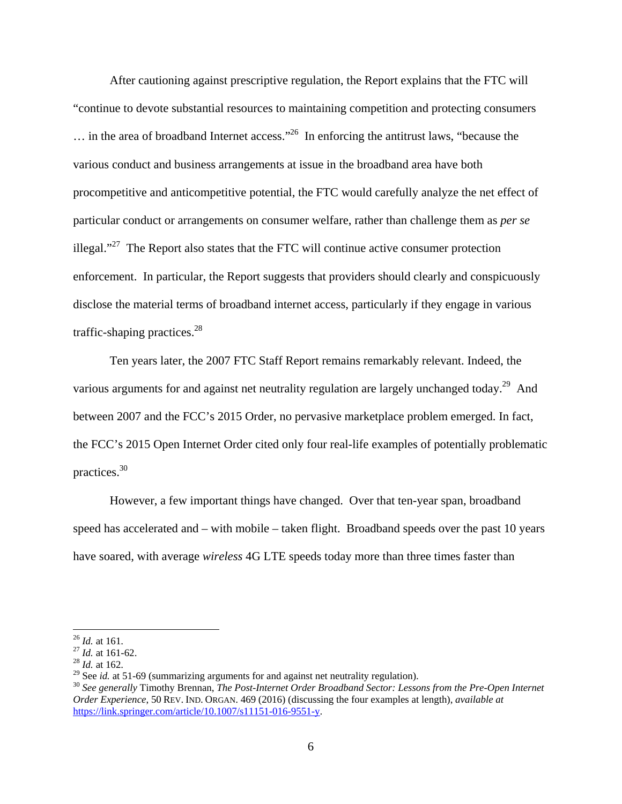After cautioning against prescriptive regulation, the Report explains that the FTC will "continue to devote substantial resources to maintaining competition and protecting consumers  $\ldots$  in the area of broadband Internet access."<sup>26</sup> In enforcing the antitrust laws, "because the various conduct and business arrangements at issue in the broadband area have both procompetitive and anticompetitive potential, the FTC would carefully analyze the net effect of particular conduct or arrangements on consumer welfare, rather than challenge them as *per se*  illegal."<sup>27</sup> The Report also states that the FTC will continue active consumer protection enforcement. In particular, the Report suggests that providers should clearly and conspicuously disclose the material terms of broadband internet access, particularly if they engage in various traffic-shaping practices. $28$ 

Ten years later, the 2007 FTC Staff Report remains remarkably relevant. Indeed, the various arguments for and against net neutrality regulation are largely unchanged today.<sup>29</sup> And between 2007 and the FCC's 2015 Order, no pervasive marketplace problem emerged. In fact, the FCC's 2015 Open Internet Order cited only four real-life examples of potentially problematic practices.30

However, a few important things have changed. Over that ten-year span, broadband speed has accelerated and – with mobile – taken flight. Broadband speeds over the past 10 years have soared, with average *wireless* 4G LTE speeds today more than three times faster than

 $^{26}$  *Id.* at 161.

<sup>&</sup>lt;sup>27</sup> *Id.* at 161-62.<br><sup>28</sup> *Id.* at 162.<br><sup>29</sup> See *id.* at 51-69 (summarizing arguments for and against net neutrality regulation).

 *Order Experience*, 50 REV. IND. ORGAN. 469 (2016) (discussing the four examples at length), *available at* <sup>30</sup> See generally Timothy Brennan, *The Post-Internet Order Broadband Sector: Lessons from the Pre-Open Internet* https://link.springer.com/article/10.1007/s11151-016-9551-y.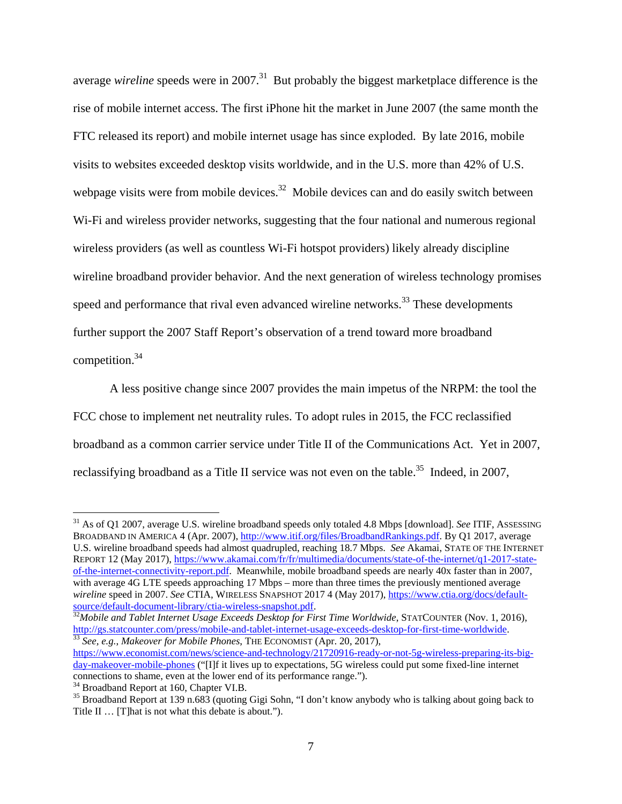competition.<sup>34</sup> average *wireline* speeds were in 2007.<sup>31</sup> But probably the biggest marketplace difference is the rise of mobile internet access. The first iPhone hit the market in June 2007 (the same month the FTC released its report) and mobile internet usage has since exploded. By late 2016, mobile visits to websites exceeded desktop visits worldwide, and in the U.S. more than 42% of U.S. webpage visits were from mobile devices.<sup>32</sup> Mobile devices can and do easily switch between W<sub>i-Fi</sub> and wireless provider networks, suggesting that the four national and numerous regional wireless providers (as well as countless Wi-Fi hotspot providers) likely already discipline wireline broadband provider behavior. And the next generation of wireless technology promises speed and performance that rival even advanced wireline networks.<sup>33</sup> These developments further support the 2007 Staff Report's observation of a trend toward more broadband

A less positive change since 2007 provides the main impetus of the NRPM: the tool the FCC chose to implement net neutrality rules. To adopt rules in 2015, the FCC reclassified broadband as a common carrier service under Title II of the Communications Act. Yet in 2007, reclassifying broadband as a Title II service was not even on the table.<sup>35</sup> Indeed, in 2007,

 U.S. wireline broadband speeds had almost quadrupled, reaching 18.7 Mbps. *See* Akamai, STATE OF THE INTERNET *wireline* speed in 2007. *See* CTIA, WIRELESS SNAPSHOT 2017 4 (May 2017), https://www.ctia.org/docs/default-31 As of Q1 2007, average U.S. wireline broadband speeds only totaled 4.8 Mbps [download]. *See* ITIF, ASSESSING BROADBAND IN AMERICA 4 (Apr. 2007), http://www.itif.org/files/BroadbandRankings.pdf. By Q1 2017, average REPORT 12 (May 2017), https://www.akamai.com/fr/fr/multimedia/documents/state-of-the-internet/q1-2017-stateof-the-internet-connectivity-report.pdf. Meanwhile, mobile broadband speeds are nearly 40x faster than in 2007, with average 4G LTE speeds approaching 17 Mbps – more than three times the previously mentioned average source/default-document-library/ctia-wireless-snapshot.pdf. 32*Mobile and Tablet Internet Usage Exceeds Desktop for First Time Worldwide*, STATCOUNTER (Nov. 1, 2016),

http://gs.statcounter.com/press/mobile-and-tablet-internet-usage-exceeds-desktop-for-first-time-worldwide. 33 *See, e.g.*, *Makeover for Mobile Phones*, THE ECONOMIST (Apr. 20, 2017),

https://www.economist.com/news/science-and-technology/21720916-ready-or-not-5g-wireless-preparing-its-bigday-makeover-mobile-phones ("[I]f it lives up to expectations, 5G wireless could put some fixed-line internet connections to shame, even at the lower end of its performance range."). 34 Broadband Report at 160, Chapter VI.B.

<sup>&</sup>lt;sup>35</sup> Broadband Report at 139 n.683 (quoting Gigi Sohn, "I don't know anybody who is talking about going back to Title II … [T]hat is not what this debate is about.").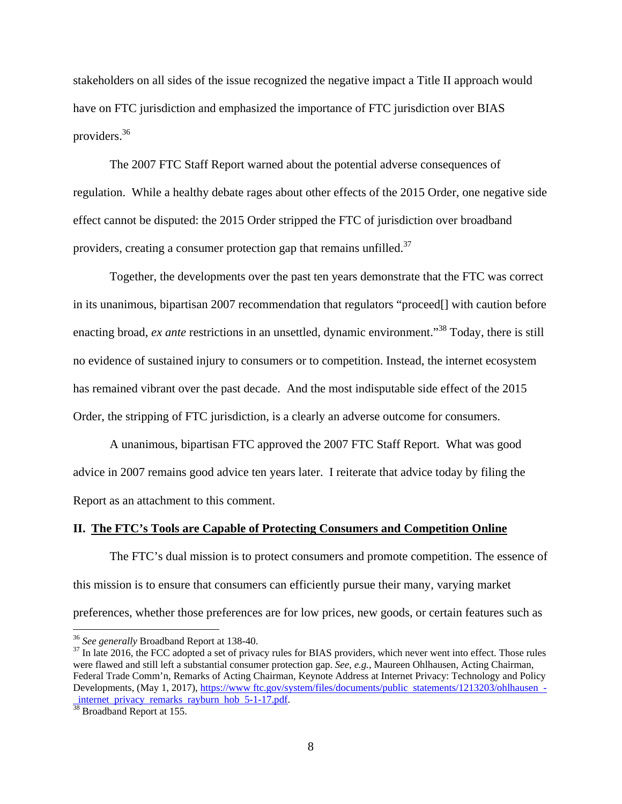providers.<sup>36</sup> stakeholders on all sides of the issue recognized the negative impact a Title II approach would have on FTC jurisdiction and emphasized the importance of FTC jurisdiction over BIAS

providers, creating a consumer protection gap that remains unfilled.<sup>37</sup> The 2007 FTC Staff Report warned about the potential adverse consequences of regulation. While a healthy debate rages about other effects of the 2015 Order, one negative side effect cannot be disputed: the 2015 Order stripped the FTC of jurisdiction over broadband

Together, the developments over the past ten years demonstrate that the FTC was correct in its unanimous, bipartisan 2007 recommendation that regulators "proceed[] with caution before enacting broad, *ex ante* restrictions in an unsettled, dynamic environment.<sup>38</sup> Today, there is still no evidence of sustained injury to consumers or to competition. Instead, the internet ecosystem has remained vibrant over the past decade. And the most indisputable side effect of the 2015 Order, the stripping of FTC jurisdiction, is a clearly an adverse outcome for consumers.

A unanimous, bipartisan FTC approved the 2007 FTC Staff Report. What was good advice in 2007 remains good advice ten years later. I reiterate that advice today by filing the Report as an attachment to this comment.

#### **II. The FTC's Tools are Capable of Protecting Consumers and Competition Online**

The FTC's dual mission is to protect consumers and promote competition. The essence of this mission is to ensure that consumers can efficiently pursue their many, varying market preferences, whether those preferences are for low prices, new goods, or certain features such as

1

<sup>&</sup>lt;sup>36</sup> See generally Broadband Report at 138-40.<br><sup>37</sup> In late 2016, the FCC adopted a set of privacy rules for BIAS providers, which never went into effect. Those rules Federal Trade Comm'n, Remarks of Acting Chairman, Keynote Address at Internet Privacy: Technology and Policy were flawed and still left a substantial consumer protection gap. *See*, *e.g.*, Maureen Ohlhausen, Acting Chairman, Developments, (May 1, 2017), https://www ftc.gov/system/files/documents/public statements/1213203/ohlhausen internet privacy remarks rayburn hob  $5-1-17$ .pdf.

<sup>&</sup>lt;sup>38</sup> Broadband Report at 155.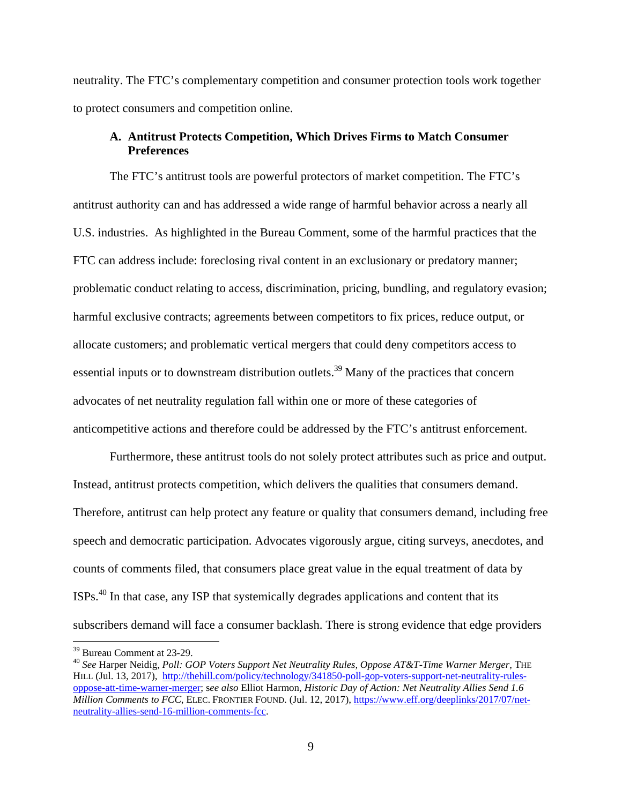neutrality. The FTC's complementary competition and consumer protection tools work together to protect consumers and competition online.

# **A. Antitrust Protects Competition, Which Drives Firms to Match Consumer Preferences**

The FTC's antitrust tools are powerful protectors of market competition. The FTC's antitrust authority can and has addressed a wide range of harmful behavior across a nearly all U.S. industries. As highlighted in the Bureau Comment, some of the harmful practices that the FTC can address include: foreclosing rival content in an exclusionary or predatory manner; problematic conduct relating to access, discrimination, pricing, bundling, and regulatory evasion; harmful exclusive contracts; agreements between competitors to fix prices, reduce output, or allocate customers; and problematic vertical mergers that could deny competitors access to essential inputs or to downstream distribution outlets.<sup>39</sup> Many of the practices that concern advocates of net neutrality regulation fall within one or more of these categories of anticompetitive actions and therefore could be addressed by the FTC's antitrust enforcement.

Furthermore, these antitrust tools do not solely protect attributes such as price and output. Instead, antitrust protects competition, which delivers the qualities that consumers demand. Therefore, antitrust can help protect any feature or quality that consumers demand, including free speech and democratic participation. Advocates vigorously argue, citing surveys, anecdotes, and counts of comments filed, that consumers place great value in the equal treatment of data by ISPs.40 In that case, any ISP that systemically degrades applications and content that its subscribers demand will face a consumer backlash. There is strong evidence that edge providers

<sup>39</sup> Bureau Comment at 23-29.

 HILL (Jul. 13, 2017), http://thehill.com/policy/technology/341850-poll-gop-voters-support-net-neutrality-rules-<sup>40</sup>*See* Harper Neidig, *Poll: GOP Voters Support Net Neutrality Rules, Oppose AT&T-Time Warner Merger*, THE oppose-att-time-warner-merger; s*ee also* Elliot Harmon, *Historic Day of Action: Net Neutrality Allies Send 1.6 Million Comments to FCC*, ELEC. FRONTIER FOUND. (Jul. 12, 2017), https://www.eff.org/deeplinks/2017/07/netneutrality-allies-send-16-million-comments-fcc.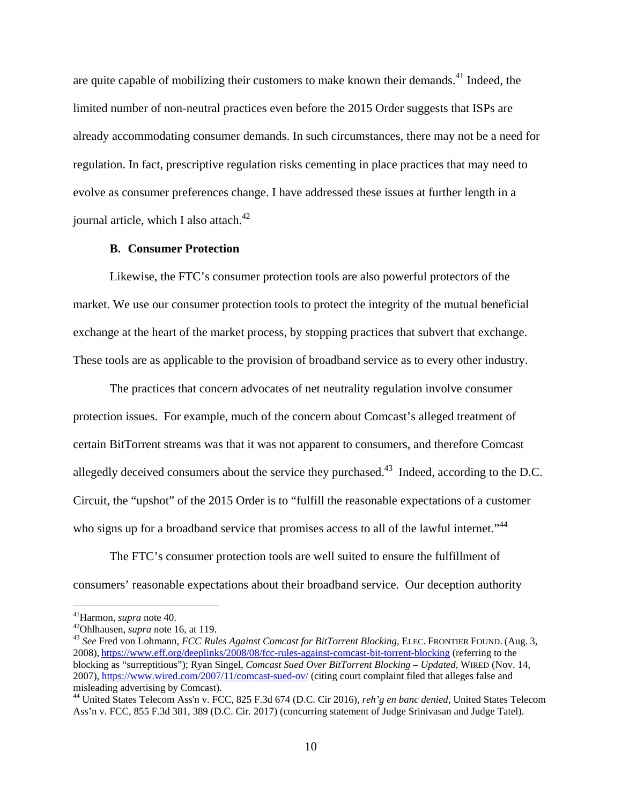journal article, which I also attach. $42$ are quite capable of mobilizing their customers to make known their demands.<sup>41</sup> Indeed, the limited number of non-neutral practices even before the 2015 Order suggests that ISPs are already accommodating consumer demands. In such circumstances, there may not be a need for regulation. In fact, prescriptive regulation risks cementing in place practices that may need to evolve as consumer preferences change. I have addressed these issues at further length in a

#### **B. Consumer Protection**

Likewise, the FTC's consumer protection tools are also powerful protectors of the market. We use our consumer protection tools to protect the integrity of the mutual beneficial exchange at the heart of the market process, by stopping practices that subvert that exchange. These tools are as applicable to the provision of broadband service as to every other industry.

who signs up for a broadband service that promises access to all of the lawful internet."<sup>44</sup> The practices that concern advocates of net neutrality regulation involve consumer protection issues. For example, much of the concern about Comcast's alleged treatment of certain BitTorrent streams was that it was not apparent to consumers, and therefore Comcast allegedly deceived consumers about the service they purchased.<sup>43</sup> Indeed, according to the D.C. Circuit, the "upshot" of the 2015 Order is to "fulfill the reasonable expectations of a customer

The FTC's consumer protection tools are well suited to ensure the fulfillment of consumers' reasonable expectations about their broadband service. Our deception authority

 41Harmon, *supra* note 40. 42Ohlhausen, *supra* note 16, at 119.

<sup>&</sup>lt;sup>42</sup>Ohlhausen, *supra* note 16, at 119.<br><sup>43</sup> See Fred von Lohmann, *FCC Rules Against Comcast for BitTorrent Blocking*, ELEC. FRONTIER FOUND. (Aug. 3, 2008), https://www.eff.org/deeplinks/2008/08/fcc-rules-against-comcast-bit-torrent-blocking (referring to the blocking as "surreptitious"); Ryan Singel, *Comcast Sued Over BitTorrent Blocking – Updated*, WIRED (Nov. 14, 2007), https://www.wired.com/2007/11/comcast-sued-ov/ (citing court complaint filed that alleges false and misleading advertising by Comcast).

 44 United States Telecom Ass'n v. FCC, 825 F.3d 674 (D.C. Cir 2016), *reh'g en banc denied*, United States Telecom Ass'n v. FCC, 855 F.3d 381, 389 (D.C. Cir. 2017) (concurring statement of Judge Srinivasan and Judge Tatel).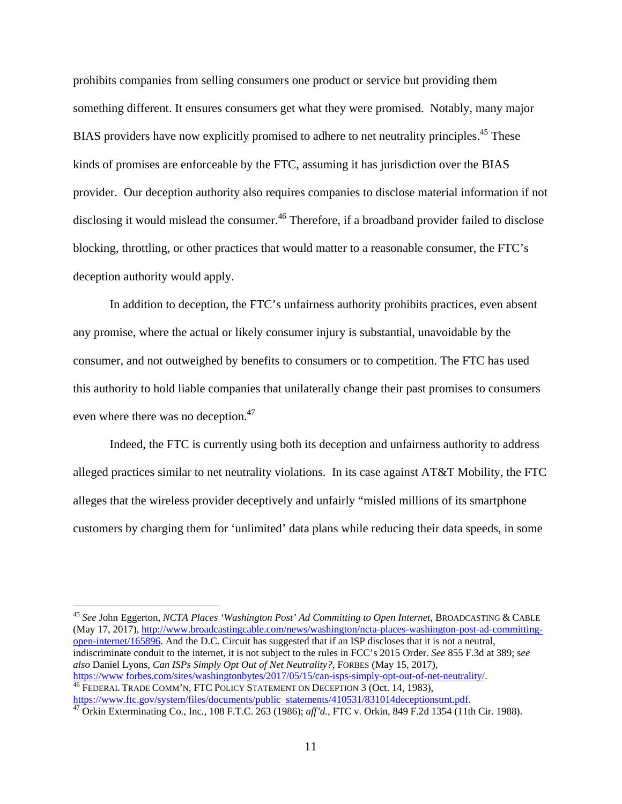prohibits companies from selling consumers one product or service but providing them something different. It ensures consumers get what they were promised. Notably, many major BIAS providers have now explicitly promised to adhere to net neutrality principles.<sup>45</sup> These kinds of promises are enforceable by the FTC, assuming it has jurisdiction over the BIAS provider. Our deception authority also requires companies to disclose material information if not disclosing it would mislead the consumer.<sup>46</sup> Therefore, if a broadband provider failed to disclose blocking, throttling, or other practices that would matter to a reasonable consumer, the FTC's deception authority would apply.

In addition to deception, the FTC's unfairness authority prohibits practices, even absent any promise, where the actual or likely consumer injury is substantial, unavoidable by the consumer, and not outweighed by benefits to consumers or to competition. The FTC has used this authority to hold liable companies that unilaterally change their past promises to consumers even where there was no deception.<sup>47</sup>

Indeed, the FTC is currently using both its deception and unfairness authority to address alleged practices similar to net neutrality violations. In its case against AT&T Mobility, the FTC alleges that the wireless provider deceptively and unfairly "misled millions of its smartphone customers by charging them for 'unlimited' data plans while reducing their data speeds, in some

<sup>45</sup>*See* John Eggerton, *NCTA Places 'Washington Post' Ad Committing to Open Internet*, BROADCASTING & CABLE (May 17, 2017), http://www.broadcastingcable.com/news/washington/ncta-places-washington-post-ad-committingopen-internet/165896. And the D.C. Circuit has suggested that if an ISP discloses that it is not a neutral, indiscriminate conduit to the internet, it is not subject to the rules in FCC's 2015 Order. *See* 855 F.3d at 389; s*ee also* Daniel Lyons, *Can ISPs Simply Opt Out of Net Neutrality?*, FORBES (May 15, 2017),<br>https://www.forbes.com/sites/washingtonbytes/2017/05/15/can-isps-simply-opt-out-of-net-neutrality/.

 https://www.ftc.gov/system/files/documents/public statements/410531/831014deceptionstmt.pdf. 47 Orkin Exterminating Co., Inc*.*, 108 F.T.C. 263 (1986); *aff'd.,* FTC v. Orkin, 849 F.2d 1354 (11th Cir. 1988).  $\frac{46}{46}$  FEDERAL TRADE COMM'N, FTC POLICY STATEMENT ON DECEPTION 3 (Oct. 14, 1983),<br>https://www.ftc.gov/system/files/documents/public statements/410531/831014deceptionstmt.pdf.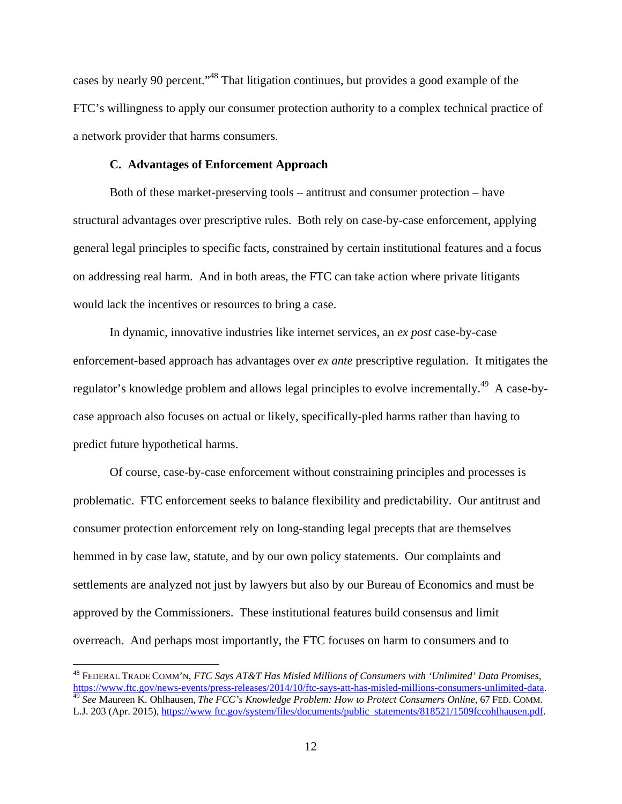cases by nearly 90 percent."48 That litigation continues, but provides a good example of the FTC's willingness to apply our consumer protection authority to a complex technical practice of a network provider that harms consumers.

### **C. Advantages of Enforcement Approach**

Both of these market-preserving tools – antitrust and consumer protection – have structural advantages over prescriptive rules. Both rely on case-by-case enforcement, applying general legal principles to specific facts, constrained by certain institutional features and a focus on addressing real harm. And in both areas, the FTC can take action where private litigants would lack the incentives or resources to bring a case.

In dynamic, innovative industries like internet services, an *ex post* case-by-case enforcement-based approach has advantages over *ex ante* prescriptive regulation. It mitigates the regulator's knowledge problem and allows legal principles to evolve incrementally.<sup>49</sup> A case-bycase approach also focuses on actual or likely, specifically-pled harms rather than having to predict future hypothetical harms.

Of course, case-by-case enforcement without constraining principles and processes is problematic. FTC enforcement seeks to balance flexibility and predictability. Our antitrust and consumer protection enforcement rely on long-standing legal precepts that are themselves hemmed in by case law, statute, and by our own policy statements. Our complaints and settlements are analyzed not just by lawyers but also by our Bureau of Economics and must be approved by the Commissioners. These institutional features build consensus and limit overreach. And perhaps most importantly, the FTC focuses on harm to consumers and to

https://www.ftc.gov/news-events/press-releases/2014/10/ftc-says-att-has-misled-millions-consumers-unlimited-data<br><sup>49</sup> See Maureen K. Ohlhausen, *The FCC's Knowledge Problem: How to Protect Consumers Online*, 67 FED. COMM. 48 FEDERAL TRADE COMM'N, *FTC Says AT&T Has Misled Millions of Consumers with 'Unlimited' Data Promises*, L.J. 203 (Apr. 2015), https://www ftc.gov/system/files/documents/public statements/818521/1509fccohlhausen.pdf.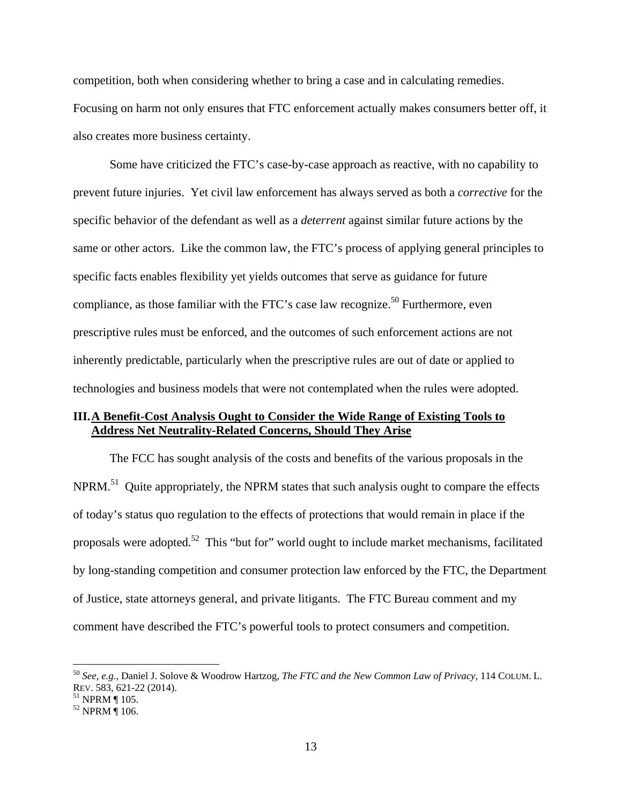competition, both when considering whether to bring a case and in calculating remedies. Focusing on harm not only ensures that FTC enforcement actually makes consumers better off, it also creates more business certainty.

Some have criticized the FTC's case-by-case approach as reactive, with no capability to prevent future injuries. Yet civil law enforcement has always served as both a *corrective* for the specific behavior of the defendant as well as a *deterrent* against similar future actions by the same or other actors. Like the common law, the FTC's process of applying general principles to specific facts enables flexibility yet yields outcomes that serve as guidance for future compliance, as those familiar with the FTC's case law recognize.<sup>50</sup> Furthermore, even prescriptive rules must be enforced, and the outcomes of such enforcement actions are not inherently predictable, particularly when the prescriptive rules are out of date or applied to technologies and business models that were not contemplated when the rules were adopted.

## **III.A Benefit-Cost Analysis Ought to Consider the Wide Range of Existing Tools to Address Net Neutrality-Related Concerns, Should They Arise**

The FCC has sought analysis of the costs and benefits of the various proposals in the NPRM.<sup>51</sup> Quite appropriately, the NPRM states that such analysis ought to compare the effects of today's status quo regulation to the effects of protections that would remain in place if the proposals were adopted.<sup>52</sup> This "but for" world ought to include market mechanisms, facilitated by long-standing competition and consumer protection law enforced by the FTC, the Department of Justice, state attorneys general, and private litigants. The FTC Bureau comment and my comment have described the FTC's powerful tools to protect consumers and competition.

<sup>50</sup>*See, e.g.*, Daniel J. Solove & Woodrow Hartzog, *The FTC and the New Common Law of Privacy*, 114 COLUM. L. REV. 583, 621-22 (2014). REV. 583, 621-22 (2014).<br><sup>51</sup> NPRM ¶ 105.

<sup>&</sup>lt;sup>51</sup> NPRM ¶ 105.<br><sup>52</sup> NPRM ¶ 106.